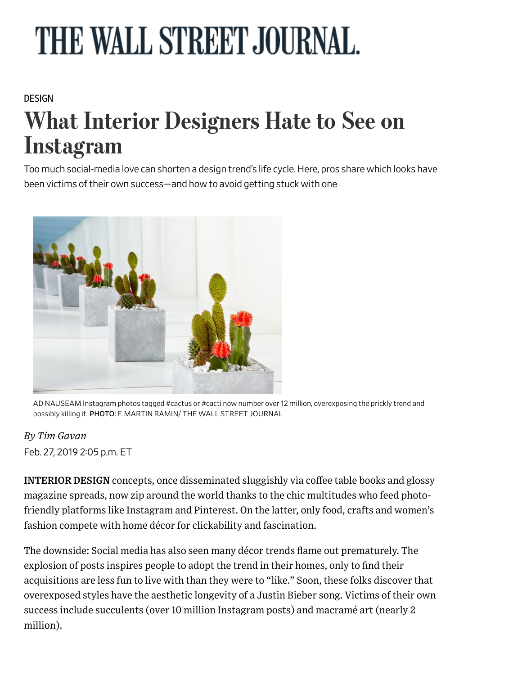# THE WALL STREET JOURNAL.

#### [DESIGN](https://www.wsj.com/news/types/design)

# What Interior Designers Hate to See on Instagram

Too much social-media love can shorten a design trend's life cycle. Here, pros share which looks have been victims of their own success—and how to avoid getting stuck with one



AD NAUSEAM Instagram photos tagged #cactus or #cacti now number over 12 million, overexposing the prickly trend and possibly killing it. PHOTO: F. MARTIN RAMIN/ THE WALL STREET JOURNAL

#### *By Tim Gavan*

Feb. 27, 2019 2:05 p.m. ET

INTERIOR DESIGN concepts, once disseminated sluggishly via coffee table books and glossy magazine spreads, now zip around the world thanks to the chic multitudes who feed photofriendly platforms like Instagram and Pinterest. On the latter, only food, crafts and women's fashion compete with home décor for clickability and fascination.

The downside: Social media has also seen many décor trends flame out prematurely. The explosion of posts inspires people to adopt the trend in their homes, only to find their acquisitions are less fun to live with than they were to "like." Soon, these folks discover that overexposed styles have the aesthetic longevity of a Justin Bieber song. Victims of their own success include succulents (over 10 million Instagram posts) and macramé art (nearly 2 million).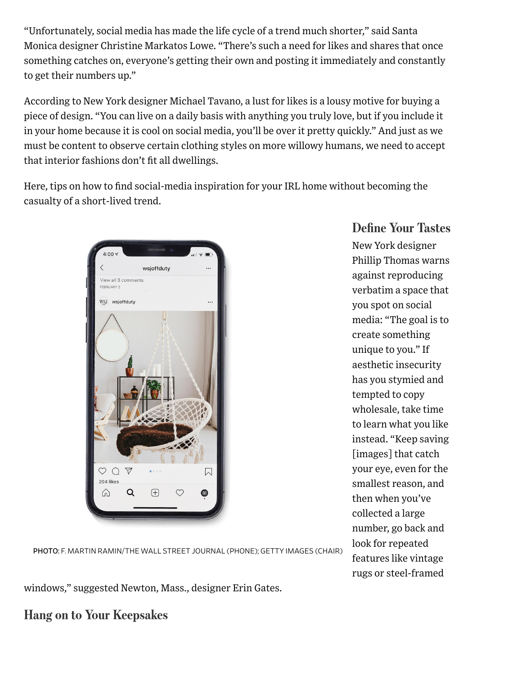"Unfortunately, social media has made the life cycle of a trend much shorter," said Santa Monica designer Christine Markatos Lowe. "There's such a need for likes and shares that once something catches on, everyone's getting their own and posting it immediately and constantly to get their numbers up."

According to New York designer Michael Tavano, a lust for likes is a lousy motive for buying a piece of design. "You can live on a daily basis with anything you truly love, but if you include it in your home because it is cool on social media, you'll be over it pretty quickly." And just as we must be content to observe certain clothing styles on more willowy humans, we need to accept that interior fashions don't fit all dwellings.

Here, tips on how to find social-media inspiration for your IRL home without becoming the casualty of a short-lived trend.



#### Define Your Tastes

New York designer Phillip Thomas warns against reproducing verbatim a space that you spot on social media: "The goal is to create something unique to you." If aesthetic insecurity has you stymied and tempted to copy wholesale, take time to learn what you like instead. "Keep saving [images] that catch your eye, even for the smallest reason, and then when you've collected a large number, go back and look for repeated features like vintage rugs or steel-framed

PHOTO: F. MARTIN RAMIN/THE WALL STREET JOURNAL (PHONE); GETTY IMAGES (CHAIR)

windows," suggested Newton, Mass., designer Erin Gates.

Hang on to Your Keepsakes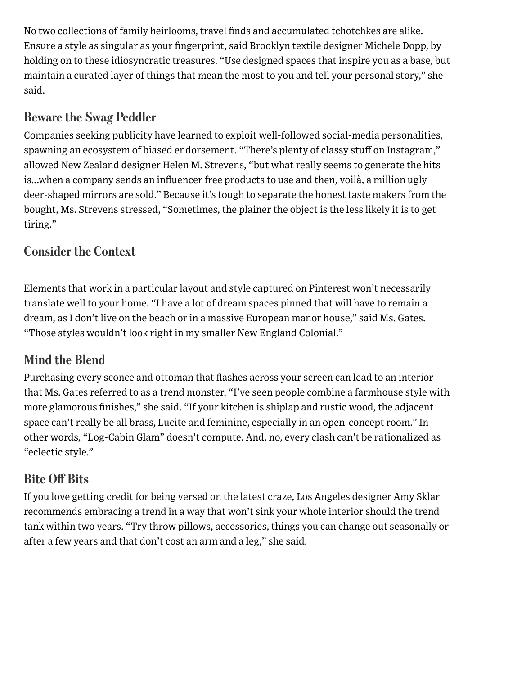No two collections of family heirlooms, travel finds and accumulated tchotchkes are alike. Ensure a style as singular as your fingerprint, said Brooklyn textile designer Michele Dopp, by holding on to these idiosyncratic treasures. "Use designed spaces that inspire you as a base, but maintain a curated layer of things that mean the most to you and tell your personal story," she said.

# Beware the Swag Peddler

Companies seeking publicity have learned to exploit well-followed social-media personalities, spawning an ecosystem of biased endorsement. "There's plenty of classy stuff on Instagram," allowed New Zealand designer Helen M. Strevens, "but what really seems to generate the hits is...when a company sends an influencer free products to use and then, voilà, a million ugly deer-shaped mirrors are sold." Because it's tough to separate the honest taste makers from the bought, Ms. Strevens stressed, "Sometimes, the plainer the object is the less likely it is to get tiring."

#### Consider the Context

Elements [that work in a particular layout and style captured on Pinterest won't necess](https://googleads.g.doubleclick.net/pcs/click?xai=AKAOjssgpcSKqJ6oE6g0rMcB5mGYSoFvpw7TEHptI0UMgr5PqxDHvzQ_2hg-lAfw0tMH0eglLl0Qn_1BrAIDDGjumU6VwKPZwBkc-CVBnpuFwuRzDgGEJEdoYv_hTaOGcwQR72DaHff1iUkZXwo6y-NJy4hi8HQX24jPTGnmheJtOsawLbtmYfYlggiY8C0Yi08GsX43o2uyt1mBouQ9CbbgXW8pu-jGL8as0xX1GVfX3Esld668eDZ-oFNgk3u8tV4y6SYp3tmDjiw&sai=AMfl-YRMKX0t4UFse9l7DiKi99ByfLSusmvk-CJUGiiBF6BsgrFwjzpLamdgOEUWn0i9aOBJleXniY2XpABUF81xYkHVM8LU5upD2DpZ-dNnq90qz3qNPv5lTZzv2cQT&sig=Cg0ArKJSzG8BfkExK5t1&adurl=https://ad.doubleclick.net/ddm/clk/432026606%3B234408658%3Be)arily translate well to your home. "I have a lot of dream spaces pinned that will have to remain a dream, as I don't live on the beach or in a massive European manor house," said Ms. Gates. "Those styles wouldn't look right in my smaller New England Colonial."

#### Mind the Blend

Purchasing every sconce and ottoman that flashes across your screen can lead to an interior that Ms. Gates referred to as a trend monster. "I've seen people combine a farmhouse style with more glamorous finishes," she said. "If your kitchen is shiplap and rustic wood, the adjacent space can't really be all brass, Lucite and feminine, especially in an open-concept room." In other words, "Log-Cabin Glam" doesn't compute. And, no, every clash can't be rationalized as "eclectic style."

#### Bite Off Bits

If you love getting credit for being versed on the latest craze, Los Angeles designer Amy Sklar recommends embracing a trend in a way that won't sink your whole interior should the trend tank within two years. "Try throw pillows, accessories, things you can change out seasonally or after a few years and that don't cost an arm and a leg," she said.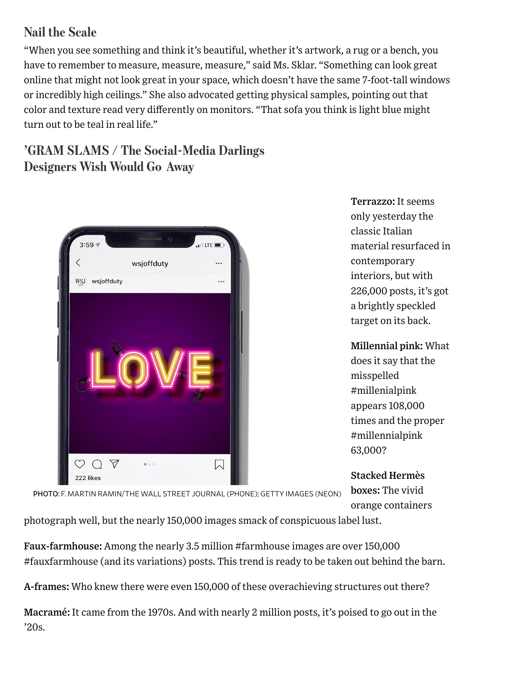## Nail the Scale

"When you see something and think it's beautiful, whether it's artwork, a rug or a bench, you have to remember to measure, measure, measure," said Ms. Sklar. "Something can look great online that might not look great in your space, which doesn't have the same 7-foot-tall windows or incredibly high ceilings." She also advocated getting physical samples, pointing out that color and texture read very differently on monitors. "That sofa you think is light blue might turn out to be teal in real life."

## 'GRAM SLAMS / The Social-Media Darlings Designers Wish Would Go Away



Terrazzo: It seems only yesterday the classic Italian material resurfaced in contemporary interiors, but with 226,000 posts, it's got a brightly speckled target on its back.

Millennial pink: What does it say that the misspelled #millenialpink appears 108,000 times and the proper #millennialpink 63,000?

Stacked Hermès boxes: The vivid orange containers

PHOTO: F. MARTIN RAMIN/THE WALL STREET JOURNAL (PHONE); GETTY IMAGES (NEON)

photograph well, but the nearly 150,000 images smack of conspicuous label lust.

Faux-farmhouse: Among the nearly 3.5 million #farmhouse images are over 150,000 #fauxfarmhouse (and its variations) posts. This trend is ready to be taken out behind the barn.

A-frames: Who knew there were even 150,000 of these overachieving structures out there?

Macramé: It came from the 1970s. And with nearly 2 million posts, it's poised to go out in the '20s.